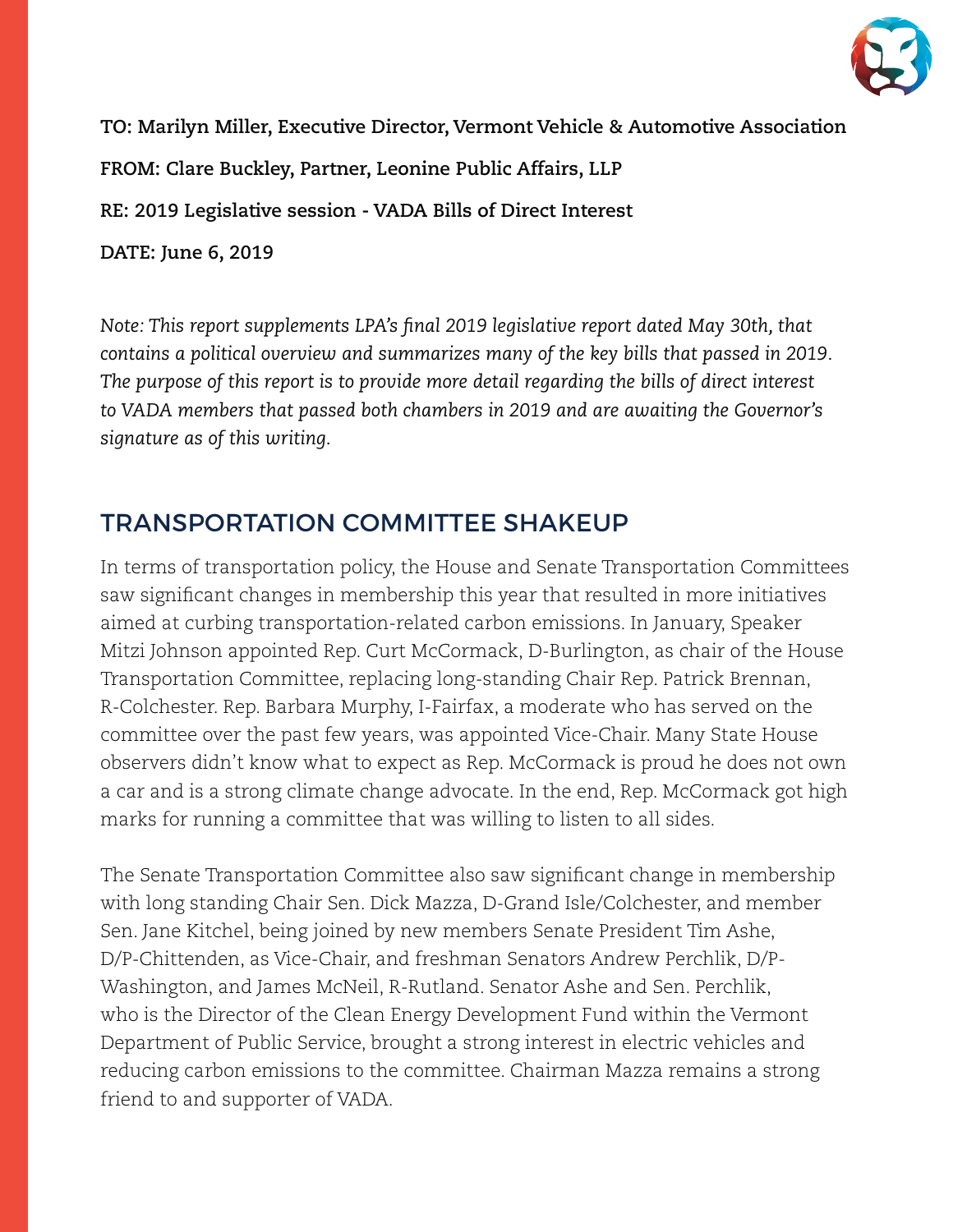

**TO: Marilyn Miller, Executive Director, Vermont Vehicle & Automotive Association FROM: Clare Buckley, Partner, Leonine Public Affairs, LLP RE: 2019 Legislative session - VADA Bills of Direct Interest DATE: June 6, 2019**

*Note: This report supplements LPA's final 2019 legislative report dated May 30th, that contains a political overview and summarizes many of the key bills that passed in 2019. The purpose of this report is to provide more detail regarding the bills of direct interest to VADA members that passed both chambers in 2019 and are awaiting the Governor's signature as of this writing.*

# TRANSPORTATION COMMITTEE SHAKEUP

In terms of transportation policy, the House and Senate Transportation Committees saw significant changes in membership this year that resulted in more initiatives aimed at curbing transportation-related carbon emissions. In January, Speaker Mitzi Johnson appointed Rep. Curt McCormack, D-Burlington, as chair of the House Transportation Committee, replacing long-standing Chair Rep. Patrick Brennan, R-Colchester. Rep. Barbara Murphy, I-Fairfax, a moderate who has served on the committee over the past few years, was appointed Vice-Chair. Many State House observers didn't know what to expect as Rep. McCormack is proud he does not own a car and is a strong climate change advocate. In the end, Rep. McCormack got high marks for running a committee that was willing to listen to all sides.

The Senate Transportation Committee also saw significant change in membership with long standing Chair Sen. Dick Mazza, D-Grand Isle/Colchester, and member Sen. Jane Kitchel, being joined by new members Senate President Tim Ashe, D/P-Chittenden, as Vice-Chair, and freshman Senators Andrew Perchlik, D/P-Washington, and James McNeil, R-Rutland. Senator Ashe and Sen. Perchlik, who is the Director of the Clean Energy Development Fund within the Vermont Department of Public Service, brought a strong interest in electric vehicles and reducing carbon emissions to the committee. Chairman Mazza remains a strong friend to and supporter of VADA.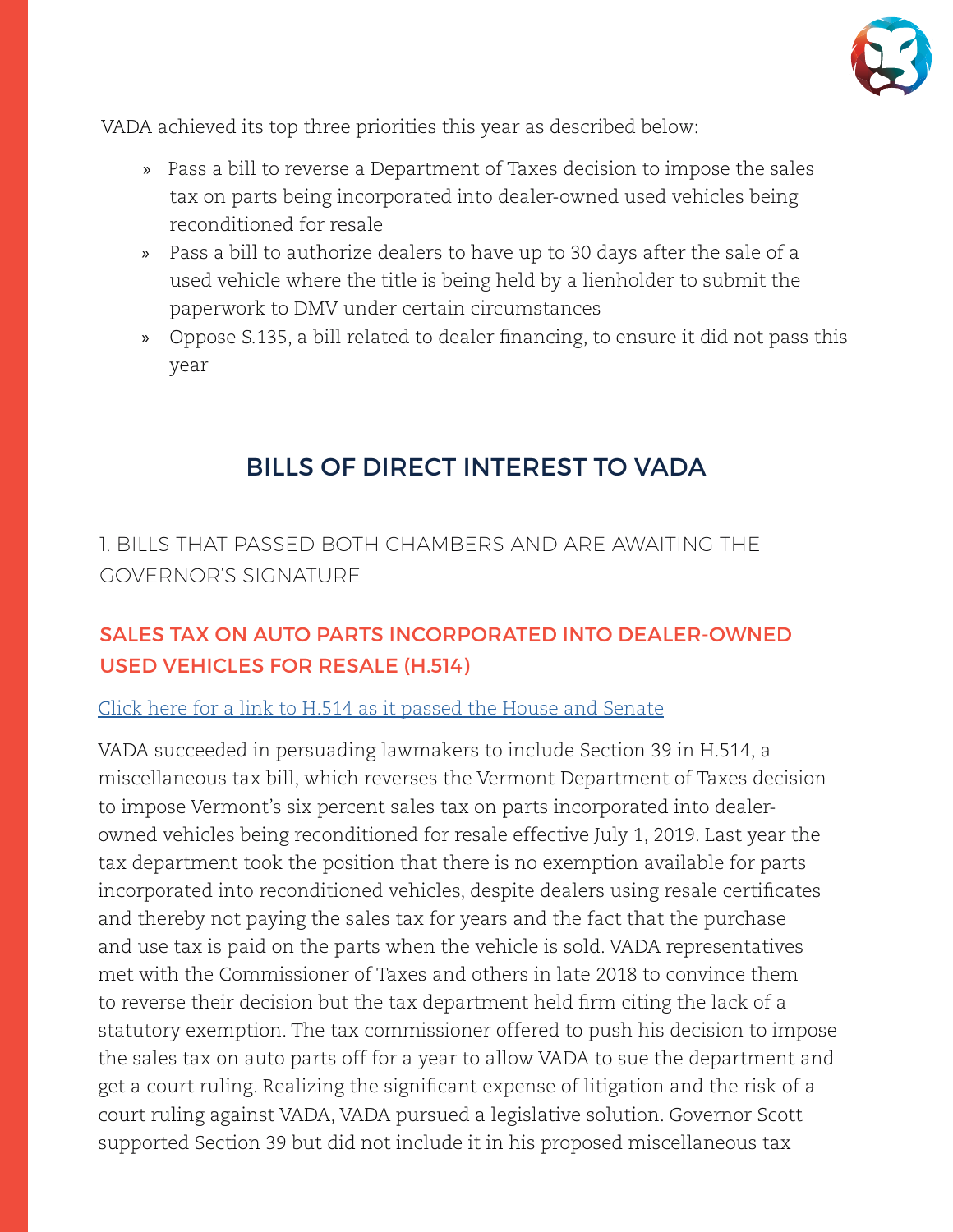

VADA achieved its top three priorities this year as described below:

- » Pass a bill to reverse a Department of Taxes decision to impose the sales tax on parts being incorporated into dealer-owned used vehicles being reconditioned for resale
- » Pass a bill to authorize dealers to have up to 30 days after the sale of a used vehicle where the title is being held by a lienholder to submit the paperwork to DMV under certain circumstances
- » Oppose S.135, a bill related to dealer financing, to ensure it did not pass this year

# BILLS OF DIRECT INTEREST TO VADA

1. BILLS THAT PASSED BOTH CHAMBERS AND ARE AWAITING THE GOVERNOR'S SIGNATURE

## SALES TAX ON AUTO PARTS INCORPORATED INTO DEALER-OWNED USED VEHICLES FOR RESALE (H.514)

### [Click here for a link to H.514 as it passed the House and Senate](https://legislature.vermont.gov/Documents/2020/Docs/BILLS/H-0514/H-0514%20As%20Passed%20by%20Both%20House%20and%20Senate%20Unofficial.pdf)

VADA succeeded in persuading lawmakers to include Section 39 in H.514, a miscellaneous tax bill, which reverses the Vermont Department of Taxes decision to impose Vermont's six percent sales tax on parts incorporated into dealerowned vehicles being reconditioned for resale effective July 1, 2019. Last year the tax department took the position that there is no exemption available for parts incorporated into reconditioned vehicles, despite dealers using resale certificates and thereby not paying the sales tax for years and the fact that the purchase and use tax is paid on the parts when the vehicle is sold. VADA representatives met with the Commissioner of Taxes and others in late 2018 to convince them to reverse their decision but the tax department held firm citing the lack of a statutory exemption. The tax commissioner offered to push his decision to impose the sales tax on auto parts off for a year to allow VADA to sue the department and get a court ruling. Realizing the significant expense of litigation and the risk of a court ruling against VADA, VADA pursued a legislative solution. Governor Scott supported Section 39 but did not include it in his proposed miscellaneous tax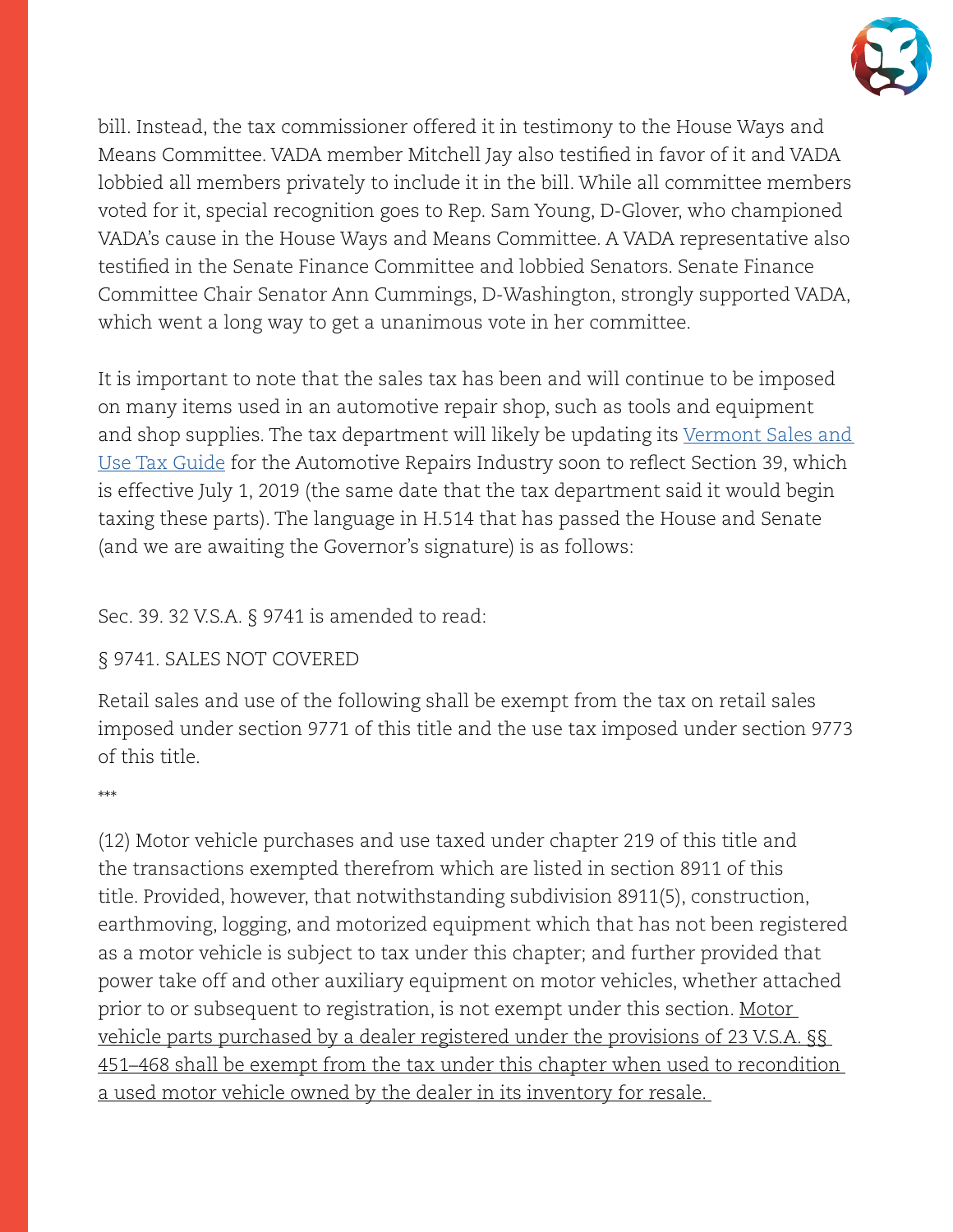

bill. Instead, the tax commissioner offered it in testimony to the House Ways and Means Committee. VADA member Mitchell Jay also testified in favor of it and VADA lobbied all members privately to include it in the bill. While all committee members voted for it, special recognition goes to Rep. Sam Young, D-Glover, who championed VADA's cause in the House Ways and Means Committee. A VADA representative also testified in the Senate Finance Committee and lobbied Senators. Senate Finance Committee Chair Senator Ann Cummings, D-Washington, strongly supported VADA, which went a long way to get a unanimous vote in her committee.

It is important to note that the sales tax has been and will continue to be imposed on many items used in an automotive repair shop, such as tools and equipment and shop supplies. The tax department will likely be updating its Vermont Sales and [Use Tax Guide](https://tax.vermont.gov/sites/tax/files/documents/GuideSUTforAutomotiveRepairsIndustry.pdf) for the Automotive Repairs Industry soon to reflect Section 39, which is effective July 1, 2019 (the same date that the tax department said it would begin taxing these parts). The language in H.514 that has passed the House and Senate (and we are awaiting the Governor's signature) is as follows:

#### Sec. 39. 32 V.S.A. § 9741 is amended to read:

#### § 9741. SALES NOT COVERED

Retail sales and use of the following shall be exempt from the tax on retail sales imposed under section 9771 of this title and the use tax imposed under section 9773 of this title.

#### \*\*\*

(12) Motor vehicle purchases and use taxed under chapter 219 of this title and the transactions exempted therefrom which are listed in section 8911 of this title. Provided, however, that notwithstanding subdivision 8911(5), construction, earthmoving, logging, and motorized equipment which that has not been registered as a motor vehicle is subject to tax under this chapter; and further provided that power take off and other auxiliary equipment on motor vehicles, whether attached prior to or subsequent to registration, is not exempt under this section. Motor vehicle parts purchased by a dealer registered under the provisions of 23 V.S.A. §§ 451–468 shall be exempt from the tax under this chapter when used to recondition a used motor vehicle owned by the dealer in its inventory for resale.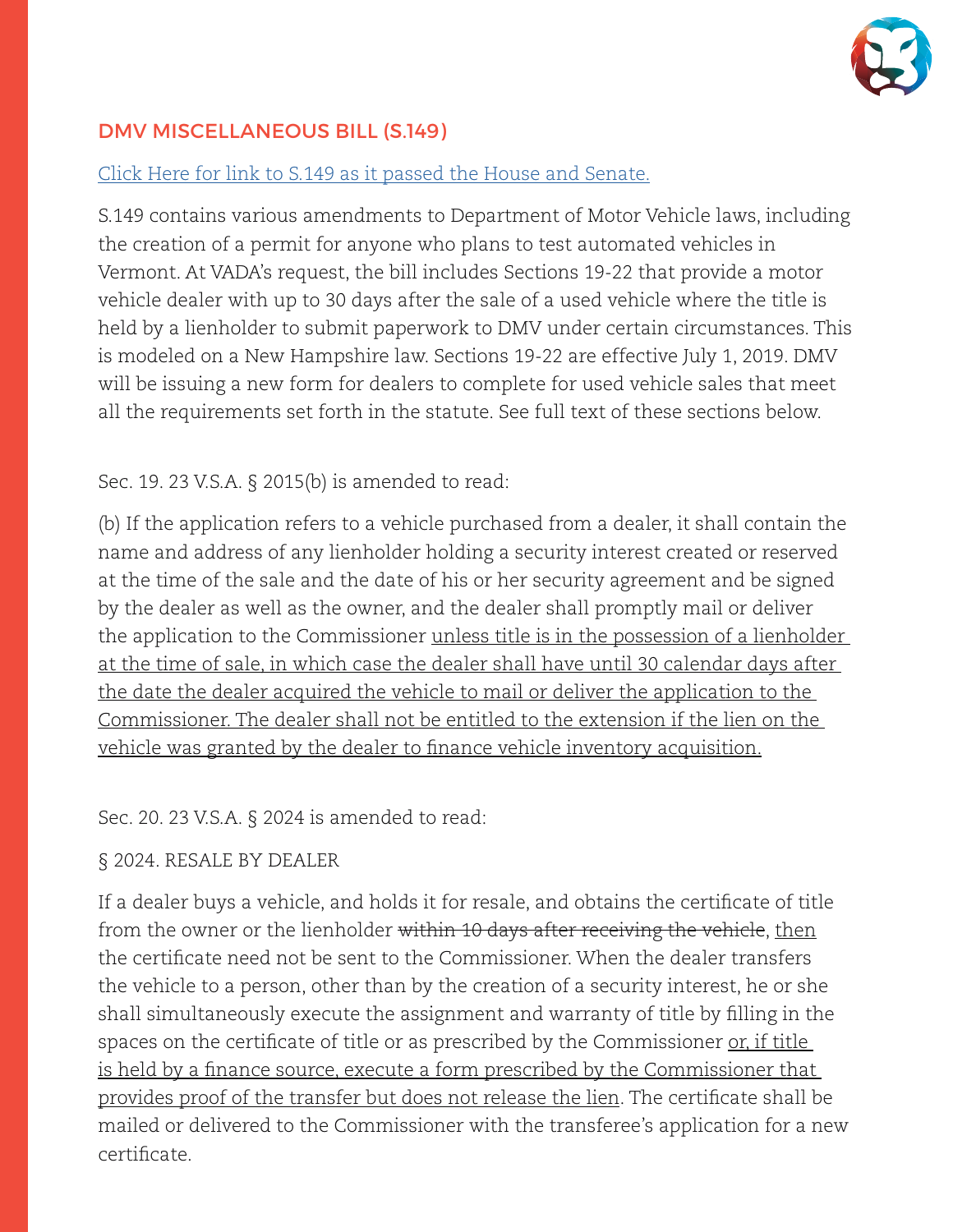

### DMV MISCELLANEOUS BILL (S.149)

#### [Click Here for link to S.149 as it passed the House and Senate.](https://legislature.vermont.gov/Documents/2020/Docs/BILLS/S-0149/S-0149%20As%20Passed%20by%20Both%20House%20and%20Senate%20Unofficial.pdf)

S.149 contains various amendments to Department of Motor Vehicle laws, including the creation of a permit for anyone who plans to test automated vehicles in Vermont. At VADA's request, the bill includes Sections 19-22 that provide a motor vehicle dealer with up to 30 days after the sale of a used vehicle where the title is held by a lienholder to submit paperwork to DMV under certain circumstances. This is modeled on a New Hampshire law. Sections 19-22 are effective July 1, 2019. DMV will be issuing a new form for dealers to complete for used vehicle sales that meet all the requirements set forth in the statute. See full text of these sections below.

#### Sec. 19. 23 V.S.A. § 2015(b) is amended to read:

(b) If the application refers to a vehicle purchased from a dealer, it shall contain the name and address of any lienholder holding a security interest created or reserved at the time of the sale and the date of his or her security agreement and be signed by the dealer as well as the owner, and the dealer shall promptly mail or deliver the application to the Commissioner unless title is in the possession of a lienholder at the time of sale, in which case the dealer shall have until 30 calendar days after the date the dealer acquired the vehicle to mail or deliver the application to the Commissioner. The dealer shall not be entitled to the extension if the lien on the vehicle was granted by the dealer to finance vehicle inventory acquisition.

#### Sec. 20. 23 V.S.A. § 2024 is amended to read:

#### § 2024. RESALE BY DEALER

If a dealer buys a vehicle, and holds it for resale, and obtains the certificate of title from the owner or the lienholder <del>within 10 days after receiving the vehicle</del>, then the certificate need not be sent to the Commissioner. When the dealer transfers the vehicle to a person, other than by the creation of a security interest, he or she shall simultaneously execute the assignment and warranty of title by filling in the spaces on the certificate of title or as prescribed by the Commissioner <u>or, if title</u> is held by a finance source, execute a form prescribed by the Commissioner that provides proof of the transfer but does not release the lien. The certificate shall be mailed or delivered to the Commissioner with the transferee's application for a new certificate.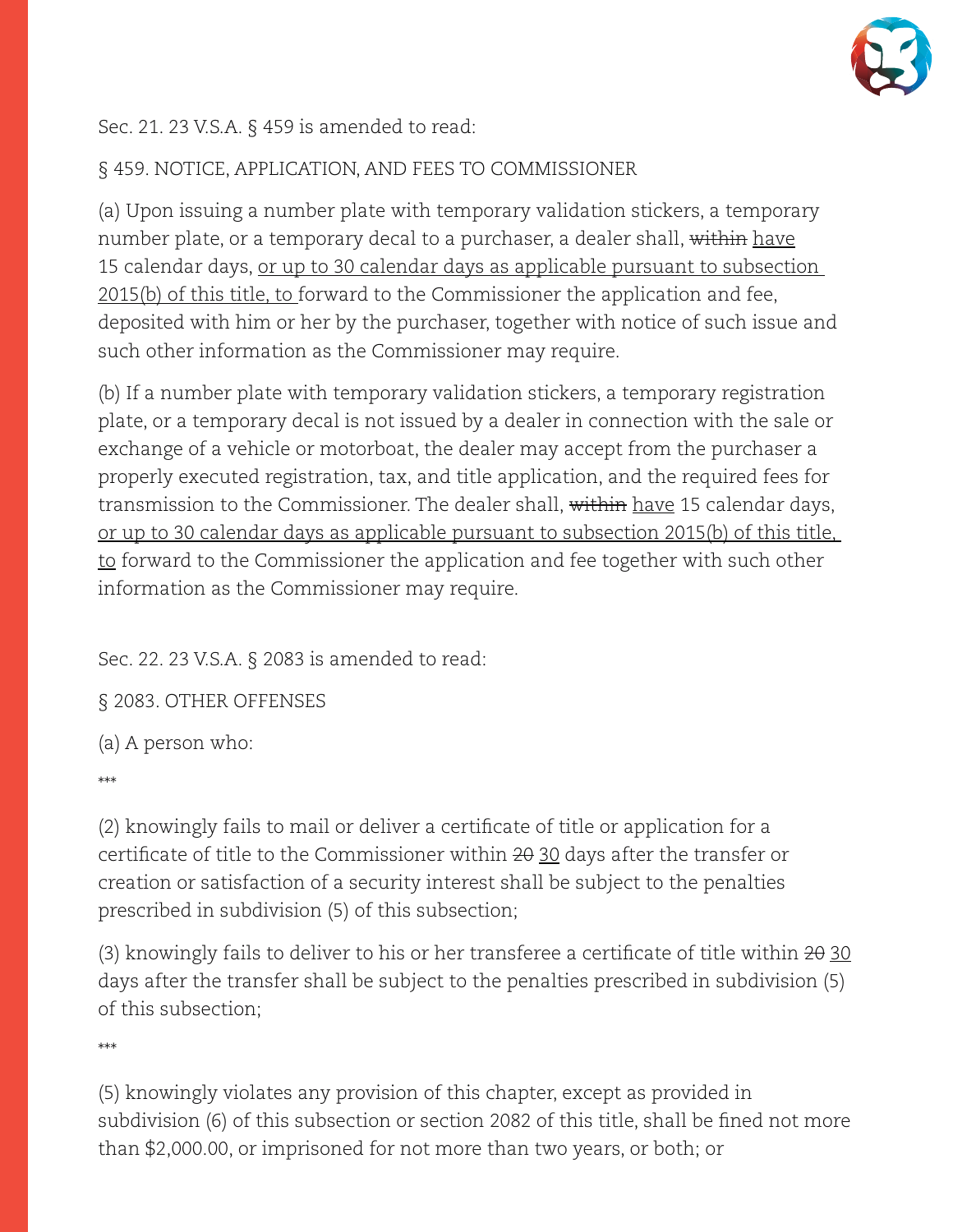

#### Sec. 21. 23 V.S.A. § 459 is amended to read:

### § 459. NOTICE, APPLICATION, AND FEES TO COMMISSIONER

(a) Upon issuing a number plate with temporary validation stickers, a temporary number plate, or a temporary decal to a purchaser, a dealer shall, within have 15 calendar days, or up to 30 calendar days as applicable pursuant to subsection 2015(b) of this title, to forward to the Commissioner the application and fee, deposited with him or her by the purchaser, together with notice of such issue and such other information as the Commissioner may require.

(b) If a number plate with temporary validation stickers, a temporary registration plate, or a temporary decal is not issued by a dealer in connection with the sale or exchange of a vehicle or motorboat, the dealer may accept from the purchaser a properly executed registration, tax, and title application, and the required fees for transmission to the Commissioner. The dealer shall, within have 15 calendar days, or up to 30 calendar days as applicable pursuant to subsection 2015(b) of this title, to forward to the Commissioner the application and fee together with such other information as the Commissioner may require.

Sec. 22. 23 V.S.A. § 2083 is amended to read:

§ 2083. OTHER OFFENSES

(a) A person who:

\*\*\*

(2) knowingly fails to mail or deliver a certificate of title or application for a certificate of title to the Commissioner within  $2\theta$   $30$  days after the transfer or creation or satisfaction of a security interest shall be subject to the penalties prescribed in subdivision (5) of this subsection;

(3) knowingly fails to deliver to his or her transferee a certificate of title within  $2\theta$  30 days after the transfer shall be subject to the penalties prescribed in subdivision (5) of this subsection;

\*\*\*

(5) knowingly violates any provision of this chapter, except as provided in subdivision (6) of this subsection or section 2082 of this title, shall be fined not more than \$2,000.00, or imprisoned for not more than two years, or both; or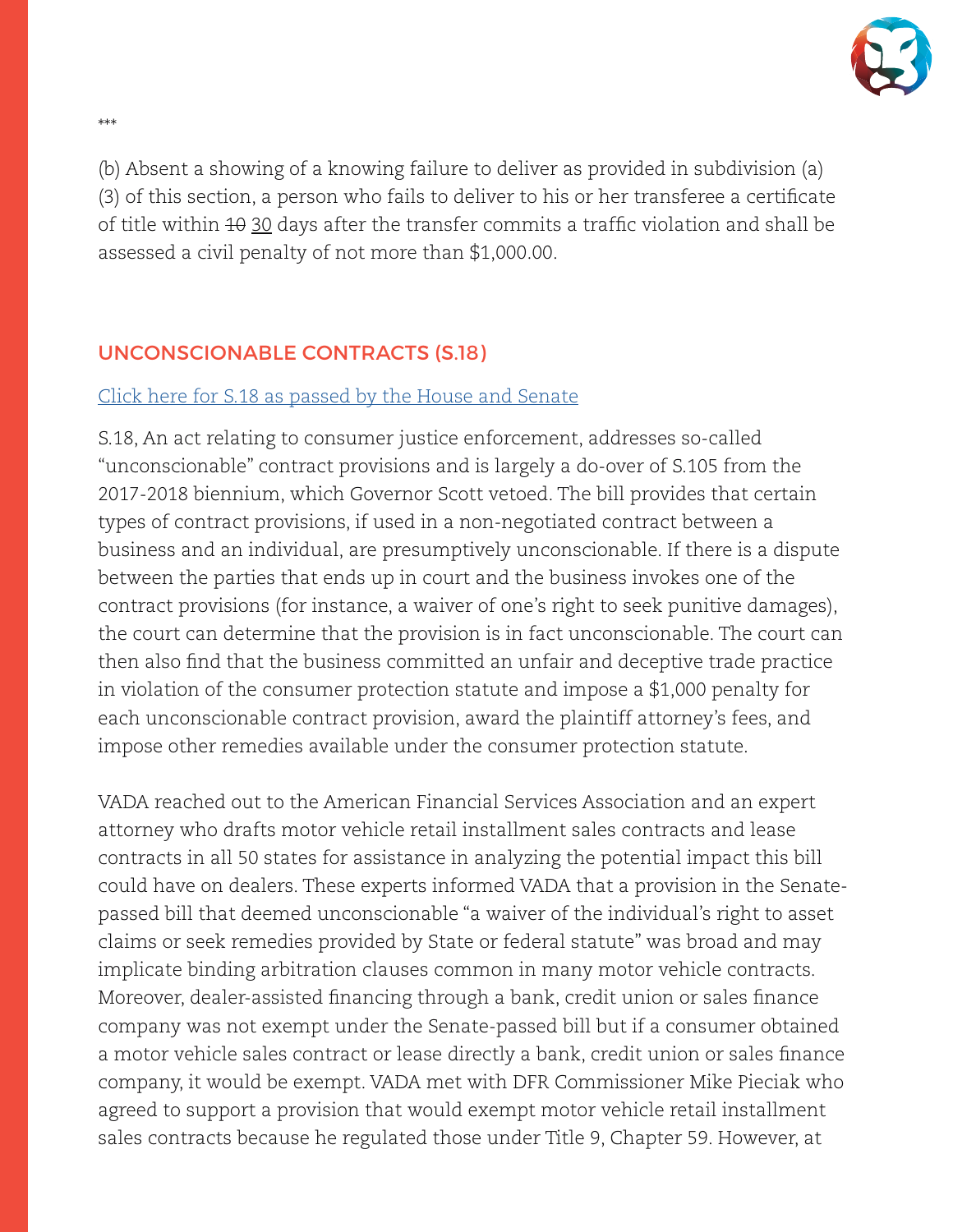

(b) Absent a showing of a knowing failure to deliver as provided in subdivision (a) (3) of this section, a person who fails to deliver to his or her transferee a certificate of title within  $10 \frac{30}{20}$  days after the transfer commits a traffic violation and shall be assessed a civil penalty of not more than \$1,000.00.

### UNCONSCIONABLE CONTRACTS (S.18)

#### [Click here for S.18 as passed by the House and Senate](https://legislature.vermont.gov/Documents/2020/Docs/BILLS/S-0018/S-0018%20As%20Passed%20by%20Both%20House%20and%20Senate%20Unofficial.pdf)

S.18, An act relating to consumer justice enforcement, addresses so-called "unconscionable" contract provisions and is largely a do-over of S.105 from the 2017-2018 biennium, which Governor Scott vetoed. The bill provides that certain types of contract provisions, if used in a non-negotiated contract between a business and an individual, are presumptively unconscionable. If there is a dispute between the parties that ends up in court and the business invokes one of the contract provisions (for instance, a waiver of one's right to seek punitive damages), the court can determine that the provision is in fact unconscionable. The court can then also find that the business committed an unfair and deceptive trade practice in violation of the consumer protection statute and impose a \$1,000 penalty for each unconscionable contract provision, award the plaintiff attorney's fees, and impose other remedies available under the consumer protection statute.

VADA reached out to the American Financial Services Association and an expert attorney who drafts motor vehicle retail installment sales contracts and lease contracts in all 50 states for assistance in analyzing the potential impact this bill could have on dealers. These experts informed VADA that a provision in the Senatepassed bill that deemed unconscionable "a waiver of the individual's right to asset claims or seek remedies provided by State or federal statute" was broad and may implicate binding arbitration clauses common in many motor vehicle contracts. Moreover, dealer-assisted financing through a bank, credit union or sales finance company was not exempt under the Senate-passed bill but if a consumer obtained a motor vehicle sales contract or lease directly a bank, credit union or sales finance company, it would be exempt. VADA met with DFR Commissioner Mike Pieciak who agreed to support a provision that would exempt motor vehicle retail installment sales contracts because he regulated those under Title 9, Chapter 59. However, at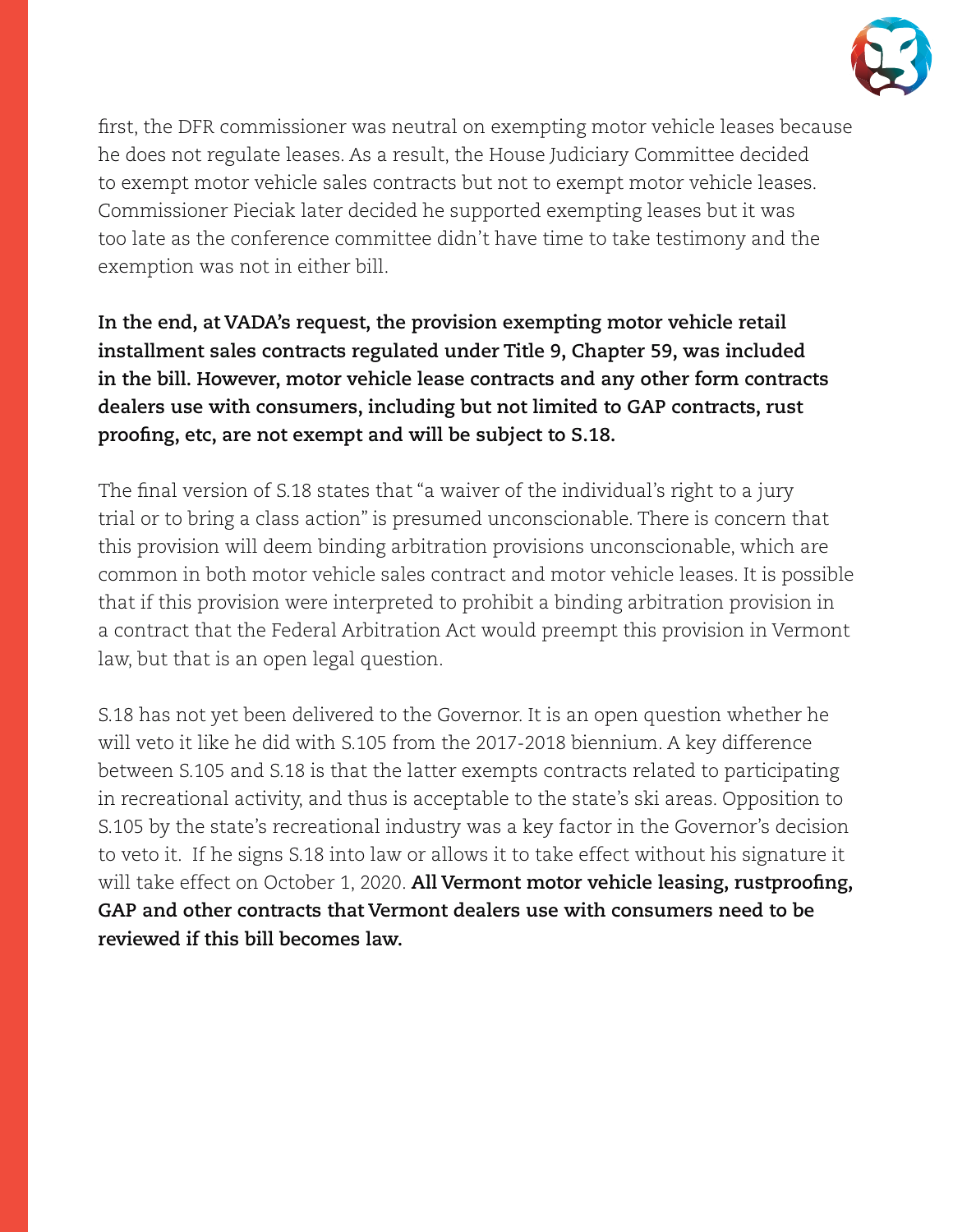

first, the DFR commissioner was neutral on exempting motor vehicle leases because he does not regulate leases. As a result, the House Judiciary Committee decided to exempt motor vehicle sales contracts but not to exempt motor vehicle leases. Commissioner Pieciak later decided he supported exempting leases but it was too late as the conference committee didn't have time to take testimony and the exemption was not in either bill.

**In the end, at VADA's request, the provision exempting motor vehicle retail installment sales contracts regulated under Title 9, Chapter 59, was included in the bill. However, motor vehicle lease contracts and any other form contracts dealers use with consumers, including but not limited to GAP contracts, rust proofing, etc, are not exempt and will be subject to S.18.**

The final version of S.18 states that "a waiver of the individual's right to a jury trial or to bring a class action" is presumed unconscionable. There is concern that this provision will deem binding arbitration provisions unconscionable, which are common in both motor vehicle sales contract and motor vehicle leases. It is possible that if this provision were interpreted to prohibit a binding arbitration provision in a contract that the Federal Arbitration Act would preempt this provision in Vermont law, but that is an open legal question.

S.18 has not yet been delivered to the Governor. It is an open question whether he will veto it like he did with S.105 from the 2017-2018 biennium. A key difference between S.105 and S.18 is that the latter exempts contracts related to participating in recreational activity, and thus is acceptable to the state's ski areas. Opposition to S.105 by the state's recreational industry was a key factor in the Governor's decision to veto it. If he signs S.18 into law or allows it to take effect without his signature it will take effect on October 1, 2020. **All Vermont motor vehicle leasing, rustproofing, GAP and other contracts that Vermont dealers use with consumers need to be reviewed if this bill becomes law.**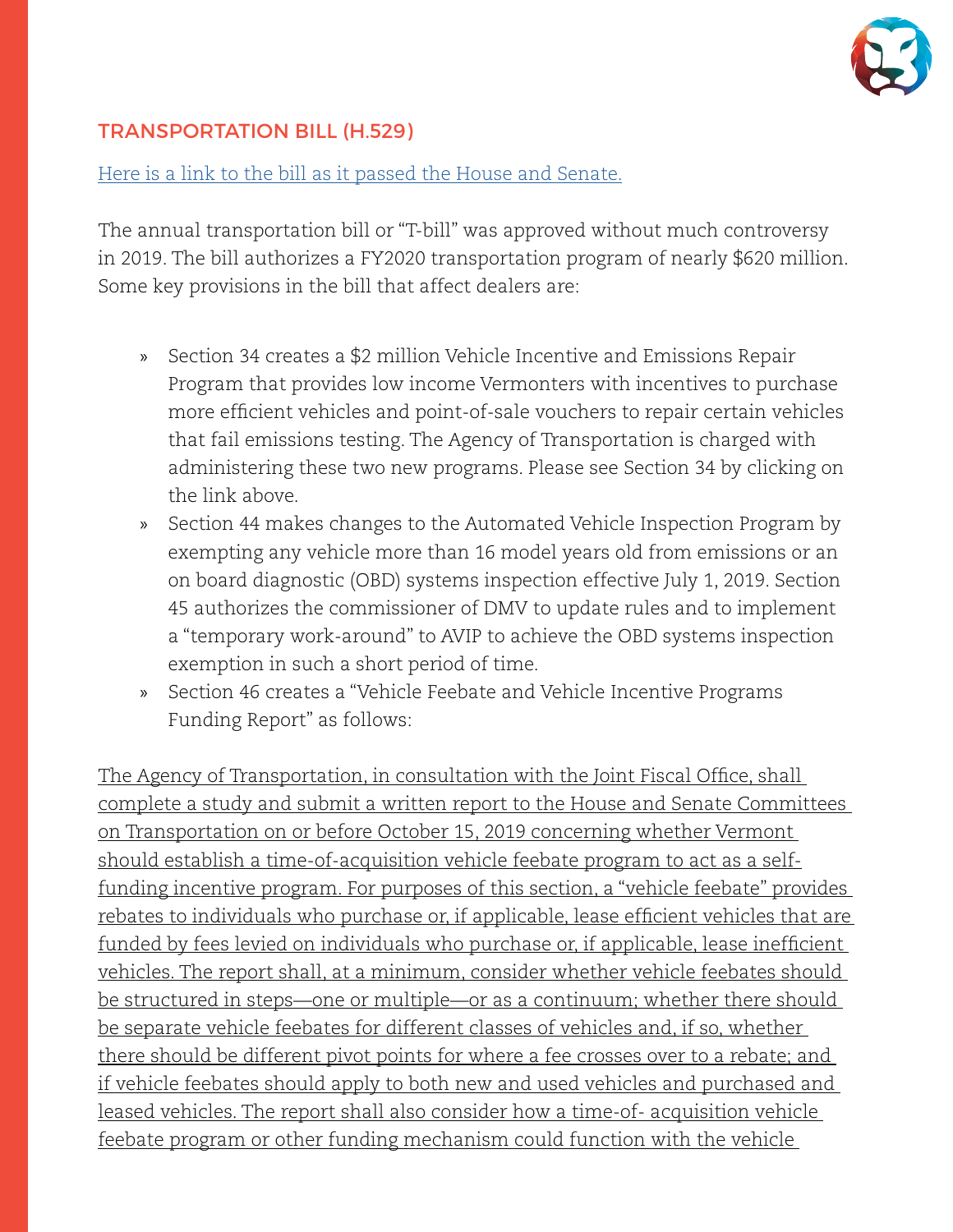

### TRANSPORTATION BILL (H.529)

[Here is a link to the bill as it passed the House and Senate.](https://legislature.vermont.gov/Documents/2020/Docs/BILLS/H-0529/H-0529%20As%20Passed%20by%20Both%20House%20and%20Senate%20Unofficial.pdf)

The annual transportation bill or "T-bill" was approved without much controversy in 2019. The bill authorizes a FY2020 transportation program of nearly \$620 million. Some key provisions in the bill that affect dealers are:

- » Section 34 creates a \$2 million Vehicle Incentive and Emissions Repair Program that provides low income Vermonters with incentives to purchase more efficient vehicles and point-of-sale vouchers to repair certain vehicles that fail emissions testing. The Agency of Transportation is charged with administering these two new programs. Please see Section 34 by clicking on the link above.
- » Section 44 makes changes to the Automated Vehicle Inspection Program by exempting any vehicle more than 16 model years old from emissions or an on board diagnostic (OBD) systems inspection effective July 1, 2019. Section 45 authorizes the commissioner of DMV to update rules and to implement a "temporary work-around" to AVIP to achieve the OBD systems inspection exemption in such a short period of time.
- » Section 46 creates a "Vehicle Feebate and Vehicle Incentive Programs Funding Report" as follows:

The Agency of Transportation, in consultation with the Joint Fiscal Office, shall complete a study and submit a written report to the House and Senate Committees on Transportation on or before October 15, 2019 concerning whether Vermont should establish a time-of-acquisition vehicle feebate program to act as a selffunding incentive program. For purposes of this section, a "vehicle feebate" provides rebates to individuals who purchase or, if applicable, lease efficient vehicles that are funded by fees levied on individuals who purchase or, if applicable, lease inefficient vehicles. The report shall, at a minimum, consider whether vehicle feebates should be structured in steps—one or multiple—or as a continuum; whether there should be separate vehicle feebates for different classes of vehicles and, if so, whether there should be different pivot points for where a fee crosses over to a rebate; and if vehicle feebates should apply to both new and used vehicles and purchased and leased vehicles. The report shall also consider how a time-of- acquisition vehicle feebate program or other funding mechanism could function with the vehicle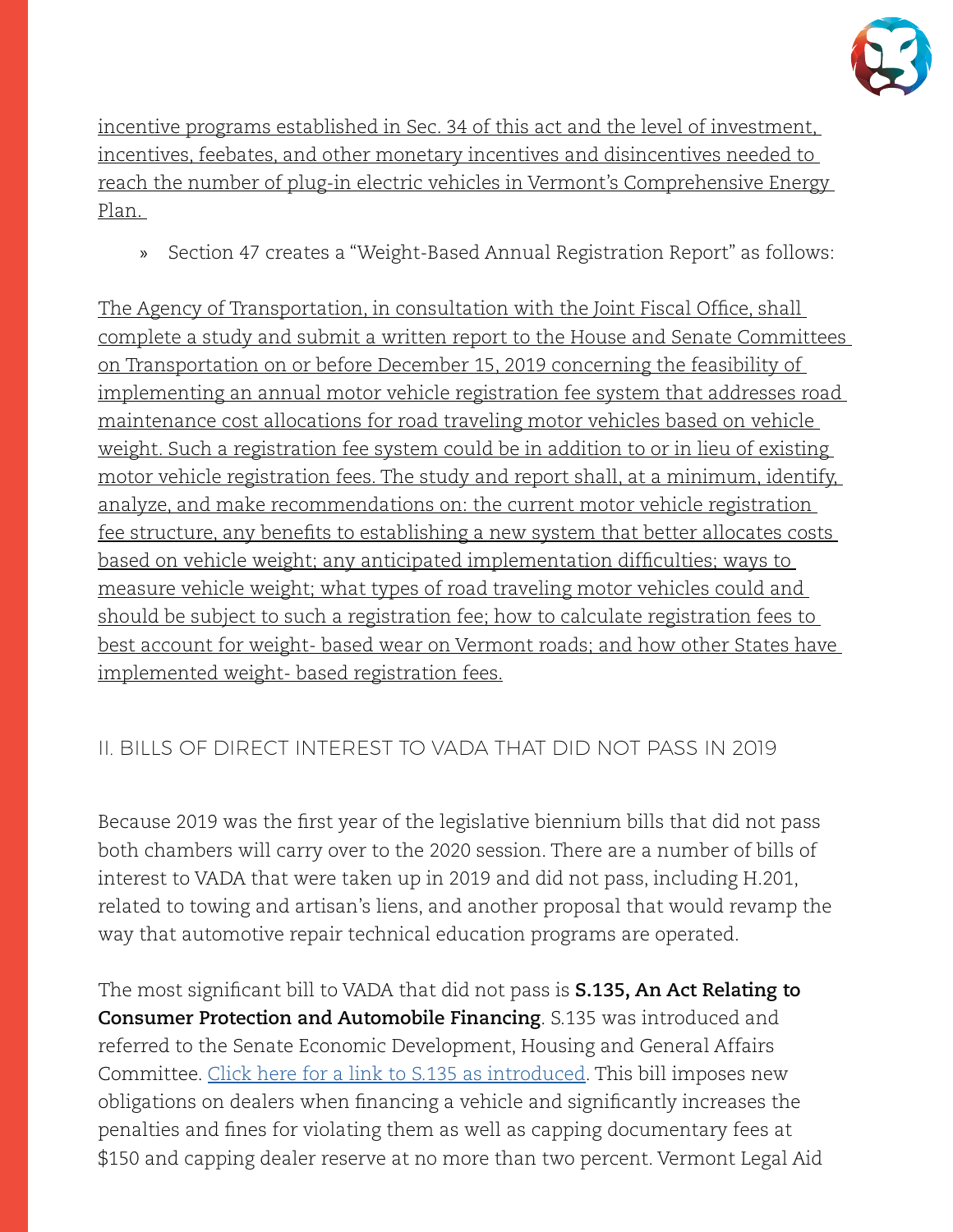

incentive programs established in Sec. 34 of this act and the level of investment, incentives, feebates, and other monetary incentives and disincentives needed to reach the number of plug-in electric vehicles in Vermont's Comprehensive Energy Plan.

» Section 47 creates a "Weight-Based Annual Registration Report" as follows:

The Agency of Transportation, in consultation with the Joint Fiscal Office, shall complete a study and submit a written report to the House and Senate Committees on Transportation on or before December 15, 2019 concerning the feasibility of implementing an annual motor vehicle registration fee system that addresses road maintenance cost allocations for road traveling motor vehicles based on vehicle weight. Such a registration fee system could be in addition to or in lieu of existing motor vehicle registration fees. The study and report shall, at a minimum, identify, analyze, and make recommendations on: the current motor vehicle registration fee structure, any benefits to establishing a new system that better allocates costs based on vehicle weight; any anticipated implementation difficulties; ways to measure vehicle weight; what types of road traveling motor vehicles could and should be subject to such a registration fee; how to calculate registration fees to best account for weight- based wear on Vermont roads; and how other States have implemented weight- based registration fees.

### II. BILLS OF DIRECT INTEREST TO VADA THAT DID NOT PASS IN 2019

Because 2019 was the first year of the legislative biennium bills that did not pass both chambers will carry over to the 2020 session. There are a number of bills of interest to VADA that were taken up in 2019 and did not pass, including H.201, related to towing and artisan's liens, and another proposal that would revamp the way that automotive repair technical education programs are operated.

The most significant bill to VADA that did not pass is **S.135, An Act Relating to Consumer Protection and Automobile Financing**. S.135 was introduced and referred to the Senate Economic Development, Housing and General Affairs Committee. [Click here for a link to S.135 as introduced](https://legislature.vermont.gov/Documents/2020/Docs/BILLS/S-0135/S-0135%20As%20Introduced.pdf). This bill imposes new obligations on dealers when financing a vehicle and significantly increases the penalties and fines for violating them as well as capping documentary fees at \$150 and capping dealer reserve at no more than two percent. Vermont Legal Aid